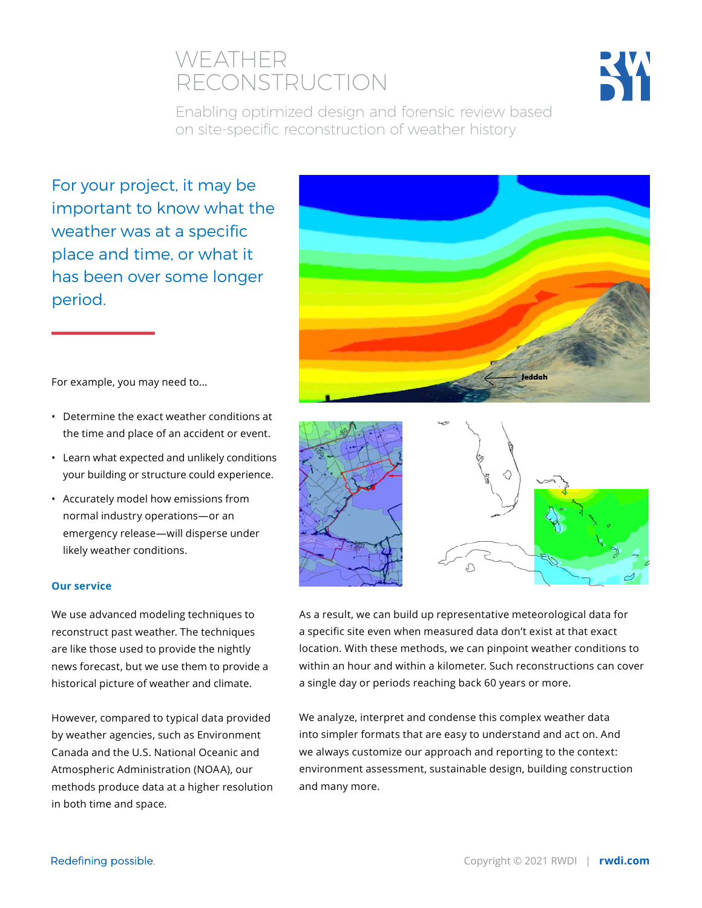# WEATHER RECONSTRUCTION



Enabling optimized design and forensic review based on site-specific reconstruction of weather history

For your project, it may be important to know what the weather was at a specific place and time, or what it has been over some longer period.

leddah



- Determine the exact weather conditions at the time and place of an accident or event.
- Learn what expected and unlikely conditions your building or structure could experience.
- Accurately model how emissions from normal industry operations—or an emergency release—will disperse under likely weather conditions.

## **Our service**

We use advanced modeling techniques to reconstruct past weather. The techniques are like those used to provide the nightly news forecast, but we use them to provide a historical picture of weather and climate.

However, compared to typical data provided by weather agencies, such as Environment Canada and the U.S. National Oceanic and Atmospheric Administration (NOAA), our methods produce data at a higher resolution in both time and space.



As a result, we can build up representative meteorological data for a specific site even when measured data don't exist at that exact location. With these methods, we can pinpoint weather conditions to within an hour and within a kilometer. Such reconstructions can cover a single day or periods reaching back 60 years or more.

We analyze, interpret and condense this complex weather data into simpler formats that are easy to understand and act on. And we always customize our approach and reporting to the context: environment assessment, sustainable design, building construction and many more.